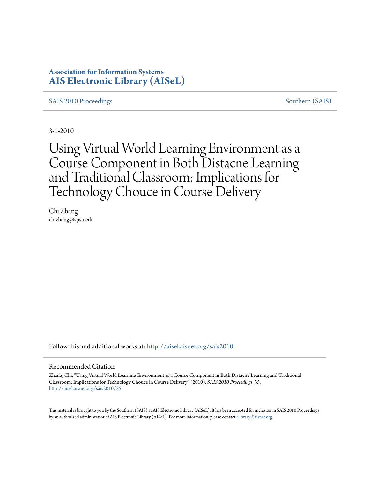# **Association for Information Systems [AIS Electronic Library \(AISeL\)](http://aisel.aisnet.org?utm_source=aisel.aisnet.org%2Fsais2010%2F35&utm_medium=PDF&utm_campaign=PDFCoverPages)**

[SAIS 2010 Proceedings](http://aisel.aisnet.org/sais2010?utm_source=aisel.aisnet.org%2Fsais2010%2F35&utm_medium=PDF&utm_campaign=PDFCoverPages) [Southern \(SAIS\)](http://aisel.aisnet.org/sais?utm_source=aisel.aisnet.org%2Fsais2010%2F35&utm_medium=PDF&utm_campaign=PDFCoverPages)

3-1-2010

Using Virtual World Learning Environment as a Course Component in Both Distacne Learning and Traditional Classroom: Implications for Technology Chouce in Course Delivery

Chi Zhang chizhang@spsu.edu

Follow this and additional works at: [http://aisel.aisnet.org/sais2010](http://aisel.aisnet.org/sais2010?utm_source=aisel.aisnet.org%2Fsais2010%2F35&utm_medium=PDF&utm_campaign=PDFCoverPages)

#### Recommended Citation

Zhang, Chi, "Using Virtual World Learning Environment as a Course Component in Both Distacne Learning and Traditional Classroom: Implications for Technology Chouce in Course Delivery" (2010). *SAIS 2010 Proceedings*. 35. [http://aisel.aisnet.org/sais2010/35](http://aisel.aisnet.org/sais2010/35?utm_source=aisel.aisnet.org%2Fsais2010%2F35&utm_medium=PDF&utm_campaign=PDFCoverPages)

This material is brought to you by the Southern (SAIS) at AIS Electronic Library (AISeL). It has been accepted for inclusion in SAIS 2010 Proceedings by an authorized administrator of AIS Electronic Library (AISeL). For more information, please contact [elibrary@aisnet.org](mailto:elibrary@aisnet.org%3E).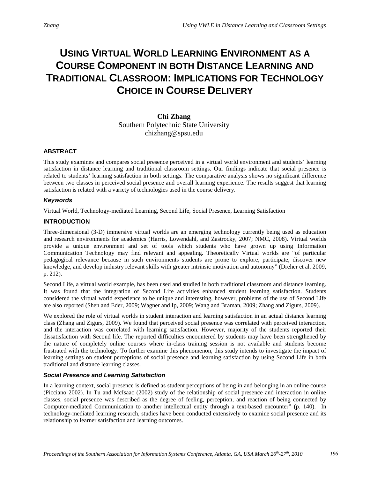# **USING VIRTUAL WORLD LEARNING ENVIRONMENT AS A COURSE COMPONENT IN BOTH DISTANCE LEARNING AND TRADITIONAL CLASSROOM: IMPLICATIONS FOR TECHNOLOGY CHOICE IN COURSE DELIVERY**

**Chi Zhang** Southern Polytechnic State University chizhang@spsu.edu

# **ABSTRACT**

This study examines and compares social presence perceived in a virtual world environment and students' learning satisfaction in distance learning and traditional classroom settings. Our findings indicate that social presence is related to students' learning satisfaction in both settings. The comparative analysis shows no significant difference between two classes in perceived social presence and overall learning experience. The results suggest that learning satisfaction is related with a variety of technologies used in the course delivery.

# *Keywords*

Virtual World, Technology-mediated Learning, Second Life, Social Presence, Learning Satisfaction

# **INTRODUCTION**

Three-dimensional (3-D) immersive virtual worlds are an emerging technology currently being used as education and research environments for academics (Harris, Lowendahl, and Zastrocky, 2007; NMC, 2008). Virtual worlds provide a unique environment and set of tools which students who have grown up using Information Communication Technology may find relevant and appealing. Theoretically Virtual worlds are "of particular pedagogical relevance because in such environments students are prone to explore, participate, discover new knowledge, and develop industry relevant skills with greater intrinsic motivation and autonomy" (Dreher et al. 2009, p. 212).

Second Life, a virtual world example, has been used and studied in both traditional classroom and distance learning. It was found that the integration of Second Life activities enhanced student learning satisfaction. Students considered the virtual world experience to be unique and interesting, however, problems of the use of Second Life are also reported (Shen and Eder, 2009; Wagner and Ip, 2009; Wang and Braman, 2009; Zhang and Zigurs, 2009).

We explored the role of virtual worlds in student interaction and learning satisfaction in an actual distance learning class (Zhang and Zigurs, 2009). We found that perceived social presence was correlated with perceived interaction, and the interaction was correlated with learning satisfaction. However, majority of the students reported their dissatisfaction with Second life. The reported difficulties encountered by students may have been strengthened by the nature of completely online courses where in-class training session is not available and students become frustrated with the technology. To further examine this phenomenon, this study intends to investigate the impact of learning settings on student perceptions of social presence and learning satisfaction by using Second Life in both traditional and distance learning classes.

# *Social Presence and Learning Satisfaction*

In a learning context, social presence is defined as student perceptions of being in and belonging in an online course (Picciano 2002). In Tu and McIsaac (2002) study of the relationship of social presence and interaction in online classes, social presence was described as the degree of feeling, perception, and reaction of being connected by Computer-mediated Communication to another intellectual entity through a text-based encounter" (p. 140). In technology-mediated learning research, studies have been conducted extensively to examine social presence and its relationship to learner satisfaction and learning outcomes.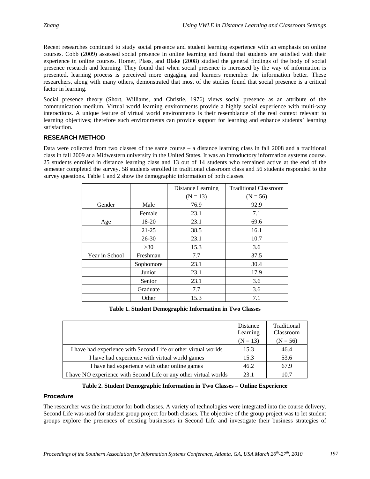Recent researches continued to study social presence and student learning experience with an emphasis on online courses. Cobb (2009) assessed social presence in online learning and found that students are satisfied with their experience in online courses. Homer, Plass, and Blake (2008) studied the general findings of the body of social presence research and learning. They found that when social presence is increased by the way of information is presented, learning process is perceived more engaging and learners remember the information better. These researchers, along with many others, demonstrated that most of the studies found that social presence is a critical factor in learning.

Social presence theory (Short, Williams, and Christie, 1976) views social presence as an attribute of the communication medium. Virtual world learning environments provide a highly social experience with multi-way interactions. A unique feature of virtual world environments is their resemblance of the real context relevant to learning objectives; therefore such environments can provide support for learning and enhance students' learning satisfaction.

# **RESEARCH METHOD**

Data were collected from two classes of the same course – a distance learning class in fall 2008 and a traditional class in fall 2009 at a Midwestern university in the United States. It was an introductory information systems course. 25 students enrolled in distance learning class and 13 out of 14 students who remained active at the end of the semester completed the survey. 58 students enrolled in traditional classroom class and 56 students responded to the survey questions. Table 1 and 2 show the demographic information of both classes.

|                |           | Distance Learning | <b>Traditional Classroom</b> |
|----------------|-----------|-------------------|------------------------------|
|                |           | $(N = 13)$        | $(N = 56)$                   |
| Gender         | Male      | 76.9              | 92.9                         |
|                | Female    | 23.1              | 7.1                          |
| Age            | 18-20     | 23.1              | 69.6                         |
|                | $21 - 25$ | 38.5              | 16.1                         |
|                | $26 - 30$ | 23.1              | 10.7                         |
|                | >30       | 15.3              | 3.6                          |
| Year in School | Freshman  | 7.7               | 37.5                         |
|                | Sophomore | 23.1              | 30.4                         |
|                | Junior    | 23.1              | 17.9                         |
|                | Senior    | 23.1              | 3.6                          |
|                | Graduate  | 7.7               | 3.6                          |
|                | Other     | 15.3              | 7.1                          |

**Table 1. Student Demographic Information in Two Classes**

|                                                                   | Distance<br>Learning<br>$(N = 13)$ | Traditional<br>Classroom<br>$(N = 56)$ |
|-------------------------------------------------------------------|------------------------------------|----------------------------------------|
| I have had experience with Second Life or other virtual worlds    | 15.3                               | 46.4                                   |
| I have had experience with virtual world games                    | 15.3                               | 53.6                                   |
| I have had experience with other online games                     | 46.2                               | 67.9                                   |
| I have NO experience with Second Life or any other virtual worlds | 23.1                               | 10.7                                   |

#### **Table 2. Student Demographic Information in Two Classes – Online Experience**

# *Procedure*

The researcher was the instructor for both classes. A variety of technologies were integrated into the course delivery. Second Life was used for student group project for both classes. The objective of the group project was to let student groups explore the presences of existing businesses in Second Life and investigate their business strategies of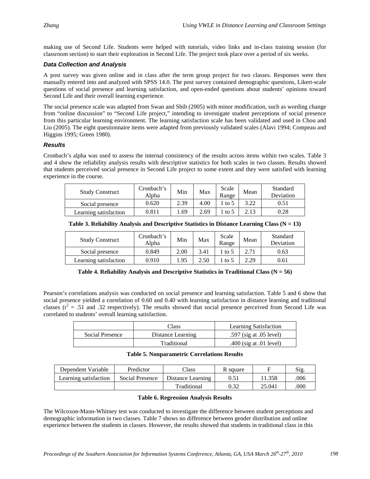making use of Second Life. Students were helped with tutorials, video links and in-class training session (for classroom section) to start their exploration in Second Life. The project took place over a period of six weeks.

# *Data Collection and Analysis*

A post survey was given online and in class after the term group project for two classes. Responses were then manually entered into and analyzed with SPSS 14.0. The post survey contained demographic questions, Likert-scale questions of social presence and learning satisfaction, and open-ended questions about students' opinions toward Second Life and their overall learning experience.

The social presence scale was adapted from Swan and Shih (2005) with minor modification, such as wording change from "online discussion" to "Second Life project," intending to investigate student perceptions of social presence from this particular learning environment. The learning satisfaction scale has been validated and used in Chou and Liu (2005). The eight questionnaire items were adapted from previously validated scales (Alavi 1994; Compeau and Higgins 1995; Green 1980).

# *Results*

Cronbach's alpha was used to assess the internal consistency of the results across items within two scales. Table 3 and 4 show the reliability analysis results with descriptive statistics for both scales in two classes. Results showed that students perceived social presence in Second Life project to some extent and they were satisfied with learning experience in the course.

| <b>Study Construct</b> | Cronbach's<br>Alpha | Min  | Max  | Scale<br>Range | Mean | Standard<br>Deviation |
|------------------------|---------------------|------|------|----------------|------|-----------------------|
| Social presence        | 0.620               | 2.39 | 4.00 | to 5           | 3.22 | 0.51                  |
| Learning satisfaction  | 0.811               | .69  | 2.69 | to 5           | 2.13 | 0.28                  |

**Table 3. Reliability Analysis and Descriptive Statistics in Distance Learning Class (N = 13)**

| <b>Study Construct</b> | Cronbach's<br>Alpha | Min  | Max  | Scale<br>Range | Mean | Standard<br>Deviation |
|------------------------|---------------------|------|------|----------------|------|-----------------------|
| Social presence        | 0.849               | 2.00 | 3.41 | to 5           | 2.71 | 0.63                  |
| Learning satisfaction  | 0.910               | 1.95 | 2.50 | to 5           | 2.29 | 0.61                  |

| Table 4. Reliability Analysis and Descriptive Statistics in Traditional Class ( $N = 56$ ) |  |  |  |  |  |  |  |
|--------------------------------------------------------------------------------------------|--|--|--|--|--|--|--|
|--------------------------------------------------------------------------------------------|--|--|--|--|--|--|--|

Pearson's correlations analysis was conducted on social presence and learning satisfaction. Table 5 and 6 show that social presence yielded a correlation of 0.60 and 0.40 with learning satisfaction in distance learning and traditional classes  $(r^2 = .51$  and .32 respectively). The results showed that social presence perceived from Second Life was correlated to students' overall learning satisfaction.

|                 | Class             | <b>Learning Satisfaction</b> |
|-----------------|-------------------|------------------------------|
| Social Presence | Distance Learning | .597 (sig at $.05$ level)    |
|                 | Traditional       | .400 (sig at .01 level)      |

#### **Table 5. Nonparametric Correlations Results**

| Dependent Variable    | Predictor       | Class             | R square |        | Sig  |
|-----------------------|-----------------|-------------------|----------|--------|------|
| Learning satisfaction | Social Presence | Distance Learning |          | 11.358 | .006 |
|                       |                 | Traditional       |          | 25.041 | .000 |

#### **Table 6. Regression Analysis Results**

The Wilcoxon-Mann-Whitney test was conducted to investigate the difference between student perceptions and demographic information in two classes. Table 7 shows no difference between gender distribution and online experience between the students in classes. However, the results showed that students in traditional class in this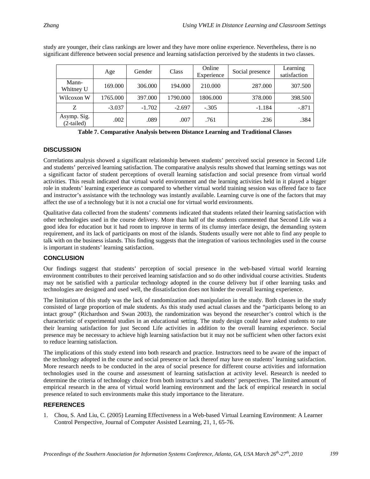|                             | Age      | Gender   | Class    | Online<br>Experience | Social presence | Learning<br>satisfaction |
|-----------------------------|----------|----------|----------|----------------------|-----------------|--------------------------|
| Mann-<br>Whitney U          | 169.000  | 306.000  | 194.000  | 210.000              | 287.000         | 307.500                  |
| Wilcoxon W                  | 1765.000 | 397.000  | 1790.000 | 1806.000             | 378.000         | 398.500                  |
| Z                           | $-3.037$ | $-1.702$ | $-2.697$ | $-.305$              | $-1.184$        | $-.871$                  |
| Asymp. Sig.<br>$(2-tailed)$ | .002     | .089     | .007     | .761                 | .236            | .384                     |

study are younger, their class rankings are lower and they have more online experience. Nevertheless, there is no significant difference between social presence and learning satisfaction perceived by the students in two classes.

**Table 7. Comparative Analysis between Distance Learning and Traditional Classes**

# **DISCUSSION**

Correlations analysis showed a significant relationship between students' perceived social presence in Second Life and students' perceived learning satisfaction. The comparative analysis results showed that learning settings was not a significant factor of student perceptions of overall learning satisfaction and social presence from virtual world activities. This result indicated that virtual world environment and the learning activities held in it played a bigger role in students' learning experience as compared to whether virtual world training session was offered face to face and instructor's assistance with the technology was instantly available. Learning curve is one of the factors that may affect the use of a technology but it is not a crucial one for virtual world environments.

Qualitative data collected from the students' comments indicated that students related their learning satisfaction with other technologies used in the course delivery. More than half of the students commented that Second Life was a good idea for education but it had room to improve in terms of its clumsy interface design, the demanding system requirement, and its lack of participants on most of the islands. Students usually were not able to find any people to talk with on the business islands. This finding suggests that the integration of various technologies used in the course is important in students' learning satisfaction.

# **CONCLUSION**

Our findings suggest that students' perception of social presence in the web-based virtual world learning environment contributes to their perceived learning satisfaction and so do other individual course activities. Students may not be satisfied with a particular technology adopted in the course delivery but if other learning tasks and technologies are designed and used well, the dissatisfaction does not hinder the overall learning experience.

The limitation of this study was the lack of randomization and manipulation in the study. Both classes in the study consisted of large proportion of male students. As this study used actual classes and the "participants belong to an intact group" (Richardson and Swan 2003), the randomization was beyond the researcher's control which is the characteristic of experimental studies in an educational setting. The study design could have asked students to rate their learning satisfaction for just Second Life activities in addition to the overall learning experience. Social presence may be necessary to achieve high learning satisfaction but it may not be sufficient when other factors exist to reduce learning satisfaction.

The implications of this study extend into both research and practice. Instructors need to be aware of the impact of the technology adopted in the course and social presence or lack thereof may have on students' learning satisfaction. More research needs to be conducted in the area of social presence for different course activities and information technologies used in the course and assessment of learning satisfaction at activity level. Research is needed to determine the criteria of technology choice from both instructor's and students' perspectives. The limited amount of empirical research in the area of virtual world learning environment and the lack of empirical research in social presence related to such environments make this study importance to the literature.

# **REFERENCES**

1. Chou, S. And Liu, C. (2005) Learning Effectiveness in a Web-based Virtual Learning Environment: A Learner Control Perspective, Journal of Computer Assisted Learning, 21, 1, 65-76.